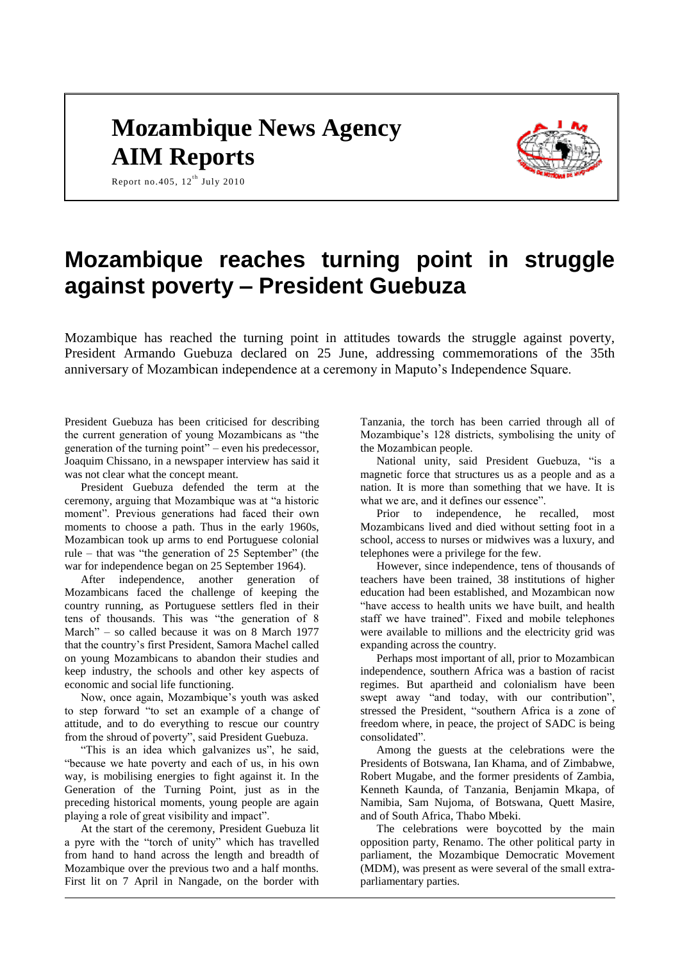## **Mozambique News Agency AIM Reports**



Report no. 405,  $12^{th}$  July 2010

# **Mozambique reaches turning point in struggle against poverty – President Guebuza**

Mozambique has reached the turning point in attitudes towards the struggle against poverty, President Armando Guebuza declared on 25 June, addressing commemorations of the 35th anniversary of Mozambican independence at a ceremony in Maputo's Independence Square.

President Guebuza has been criticised for describing the current generation of young Mozambicans as "the generation of the turning point" – even his predecessor, Joaquim Chissano, in a newspaper interview has said it was not clear what the concept meant.

President Guebuza defended the term at the ceremony, arguing that Mozambique was at "a historic moment". Previous generations had faced their own moments to choose a path. Thus in the early 1960s, Mozambican took up arms to end Portuguese colonial rule – that was "the generation of 25 September" (the war for independence began on 25 September 1964).

After independence, another generation of Mozambicans faced the challenge of keeping the country running, as Portuguese settlers fled in their tens of thousands. This was "the generation of 8 March" – so called because it was on 8 March 1977 that the country's first President, Samora Machel called on young Mozambicans to abandon their studies and keep industry, the schools and other key aspects of economic and social life functioning.

Now, once again, Mozambique's youth was asked to step forward "to set an example of a change of attitude, and to do everything to rescue our country from the shroud of poverty", said President Guebuza.

"This is an idea which galvanizes us", he said, "because we hate poverty and each of us, in his own way, is mobilising energies to fight against it. In the Generation of the Turning Point, just as in the preceding historical moments, young people are again playing a role of great visibility and impact".

At the start of the ceremony, President Guebuza lit a pyre with the "torch of unity" which has travelled from hand to hand across the length and breadth of Mozambique over the previous two and a half months. First lit on 7 April in Nangade, on the border with Tanzania, the torch has been carried through all of Mozambique's 128 districts, symbolising the unity of the Mozambican people.

National unity, said President Guebuza, "is a magnetic force that structures us as a people and as a nation. It is more than something that we have. It is what we are, and it defines our essence".

Prior to independence, he recalled, most Mozambicans lived and died without setting foot in a school, access to nurses or midwives was a luxury, and telephones were a privilege for the few.

However, since independence, tens of thousands of teachers have been trained, 38 institutions of higher education had been established, and Mozambican now "have access to health units we have built, and health staff we have trained". Fixed and mobile telephones were available to millions and the electricity grid was expanding across the country.

Perhaps most important of all, prior to Mozambican independence, southern Africa was a bastion of racist regimes. But apartheid and colonialism have been swept away "and today, with our contribution", stressed the President, "southern Africa is a zone of freedom where, in peace, the project of SADC is being consolidated".

Among the guests at the celebrations were the Presidents of Botswana, Ian Khama, and of Zimbabwe, Robert Mugabe, and the former presidents of Zambia, Kenneth Kaunda, of Tanzania, Benjamin Mkapa, of Namibia, Sam Nujoma, of Botswana, Quett Masire, and of South Africa, Thabo Mbeki.

The celebrations were boycotted by the main opposition party, Renamo. The other political party in parliament, the Mozambique Democratic Movement (MDM), was present as were several of the small extraparliamentary parties.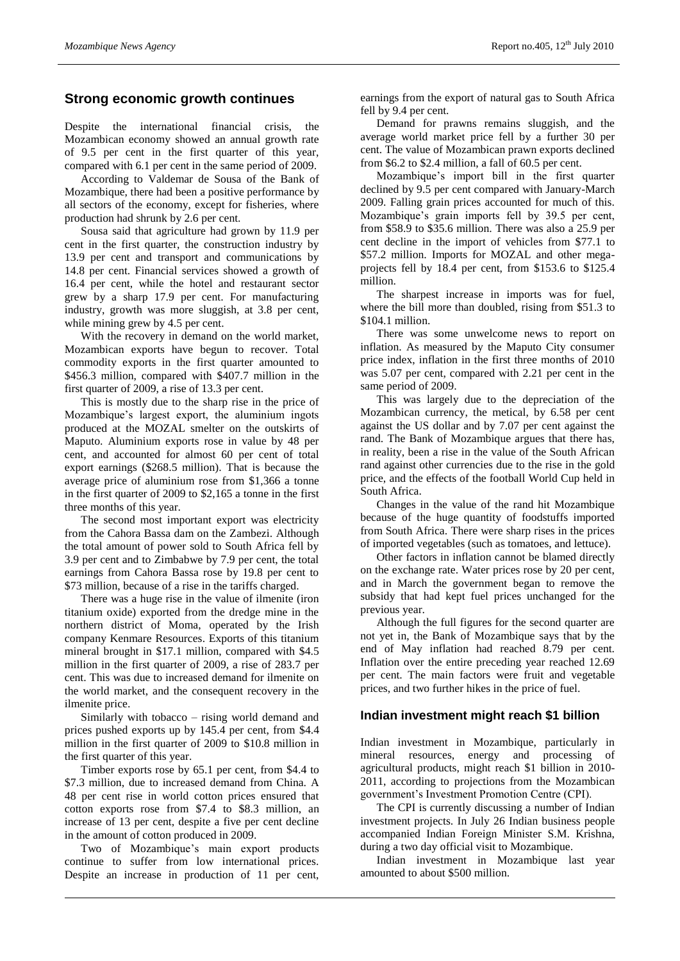## **Strong economic growth continues**

Despite the international financial crisis, the Mozambican economy showed an annual growth rate of 9.5 per cent in the first quarter of this year, compared with 6.1 per cent in the same period of 2009.

According to Valdemar de Sousa of the Bank of Mozambique, there had been a positive performance by all sectors of the economy, except for fisheries, where production had shrunk by 2.6 per cent.

Sousa said that agriculture had grown by 11.9 per cent in the first quarter, the construction industry by 13.9 per cent and transport and communications by 14.8 per cent. Financial services showed a growth of 16.4 per cent, while the hotel and restaurant sector grew by a sharp 17.9 per cent. For manufacturing industry, growth was more sluggish, at 3.8 per cent, while mining grew by 4.5 per cent.

With the recovery in demand on the world market, Mozambican exports have begun to recover. Total commodity exports in the first quarter amounted to \$456.3 million, compared with \$407.7 million in the first quarter of 2009, a rise of 13.3 per cent.

This is mostly due to the sharp rise in the price of Mozambique's largest export, the aluminium ingots produced at the MOZAL smelter on the outskirts of Maputo. Aluminium exports rose in value by 48 per cent, and accounted for almost 60 per cent of total export earnings (\$268.5 million). That is because the average price of aluminium rose from \$1,366 a tonne in the first quarter of 2009 to \$2,165 a tonne in the first three months of this year.

The second most important export was electricity from the Cahora Bassa dam on the Zambezi. Although the total amount of power sold to South Africa fell by 3.9 per cent and to Zimbabwe by 7.9 per cent, the total earnings from Cahora Bassa rose by 19.8 per cent to \$73 million, because of a rise in the tariffs charged.

There was a huge rise in the value of ilmenite (iron titanium oxide) exported from the dredge mine in the northern district of Moma, operated by the Irish company Kenmare Resources. Exports of this titanium mineral brought in \$17.1 million, compared with \$4.5 million in the first quarter of 2009, a rise of 283.7 per cent. This was due to increased demand for ilmenite on the world market, and the consequent recovery in the ilmenite price.

Similarly with tobacco – rising world demand and prices pushed exports up by 145.4 per cent, from \$4.4 million in the first quarter of 2009 to \$10.8 million in the first quarter of this year.

Timber exports rose by 65.1 per cent, from \$4.4 to \$7.3 million, due to increased demand from China. A 48 per cent rise in world cotton prices ensured that cotton exports rose from \$7.4 to \$8.3 million, an increase of 13 per cent, despite a five per cent decline in the amount of cotton produced in 2009.

Two of Mozambique's main export products continue to suffer from low international prices. Despite an increase in production of 11 per cent, earnings from the export of natural gas to South Africa fell by 9.4 per cent.

Demand for prawns remains sluggish, and the average world market price fell by a further 30 per cent. The value of Mozambican prawn exports declined from \$6.2 to \$2.4 million, a fall of 60.5 per cent.

Mozambique's import bill in the first quarter declined by 9.5 per cent compared with January-March 2009. Falling grain prices accounted for much of this. Mozambique's grain imports fell by 39.5 per cent, from \$58.9 to \$35.6 million. There was also a 25.9 per cent decline in the import of vehicles from \$77.1 to \$57.2 million. Imports for MOZAL and other megaprojects fell by 18.4 per cent, from \$153.6 to \$125.4 million.

The sharpest increase in imports was for fuel, where the bill more than doubled, rising from \$51.3 to \$104.1 million.

There was some unwelcome news to report on inflation. As measured by the Maputo City consumer price index, inflation in the first three months of 2010 was 5.07 per cent, compared with 2.21 per cent in the same period of 2009.

This was largely due to the depreciation of the Mozambican currency, the metical, by 6.58 per cent against the US dollar and by 7.07 per cent against the rand. The Bank of Mozambique argues that there has, in reality, been a rise in the value of the South African rand against other currencies due to the rise in the gold price, and the effects of the football World Cup held in South Africa.

Changes in the value of the rand hit Mozambique because of the huge quantity of foodstuffs imported from South Africa. There were sharp rises in the prices of imported vegetables (such as tomatoes, and lettuce).

Other factors in inflation cannot be blamed directly on the exchange rate. Water prices rose by 20 per cent, and in March the government began to remove the subsidy that had kept fuel prices unchanged for the previous year.

Although the full figures for the second quarter are not yet in, the Bank of Mozambique says that by the end of May inflation had reached 8.79 per cent. Inflation over the entire preceding year reached 12.69 per cent. The main factors were fruit and vegetable prices, and two further hikes in the price of fuel.

#### **Indian investment might reach \$1 billion**

Indian investment in Mozambique, particularly in mineral resources, energy and processing of agricultural products, might reach \$1 billion in 2010- 2011, according to projections from the Mozambican government's Investment Promotion Centre (CPI).

The CPI is currently discussing a number of Indian investment projects. In July 26 Indian business people accompanied Indian Foreign Minister S.M. Krishna, during a two day official visit to Mozambique.

Indian investment in Mozambique last year amounted to about \$500 million.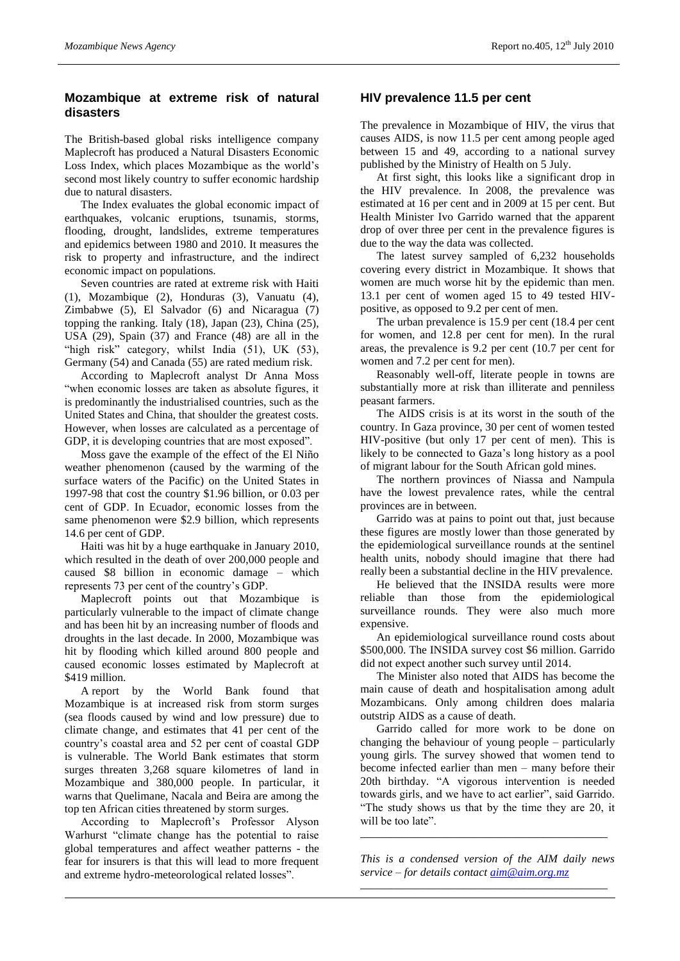## **Mozambique at extreme risk of natural disasters**

The British-based global risks intelligence company Maplecroft has produced a Natural Disasters Economic Loss Index, which places Mozambique as the world's second most likely country to suffer economic hardship due to natural disasters.

The Index evaluates the global economic impact of earthquakes, volcanic eruptions, tsunamis, storms, flooding, drought, landslides, extreme temperatures and epidemics between 1980 and 2010. It measures the risk to property and infrastructure, and the indirect economic impact on populations.

Seven countries are rated at extreme risk with Haiti (1), Mozambique (2), Honduras (3), Vanuatu (4), Zimbabwe (5), El Salvador (6) and Nicaragua (7) topping the ranking. Italy (18), Japan (23), China (25), USA (29), Spain (37) and France (48) are all in the "high risk" category, whilst India (51), UK (53), Germany (54) and Canada (55) are rated medium risk.

According to Maplecroft analyst Dr Anna Moss "when economic losses are taken as absolute figures, it is predominantly the industrialised countries, such as the United States and China, that shoulder the greatest costs. However, when losses are calculated as a percentage of GDP, it is developing countries that are most exposed".

Moss gave the example of the effect of the El Niño weather phenomenon (caused by the warming of the surface waters of the Pacific) on the United States in 1997-98 that cost the country \$1.96 billion, or 0.03 per cent of GDP. In Ecuador, economic losses from the same phenomenon were \$2.9 billion, which represents 14.6 per cent of GDP.

Haiti was hit by a huge earthquake in January 2010, which resulted in the death of over 200,000 people and caused \$8 billion in economic damage – which represents 73 per cent of the country's GDP.

Maplecroft points out that Mozambique is particularly vulnerable to the impact of climate change and has been hit by an increasing number of floods and droughts in the last decade. In 2000, Mozambique was hit by flooding which killed around 800 people and caused economic losses estimated by Maplecroft at \$419 million.

A report by the World Bank found that Mozambique is at increased risk from storm surges (sea floods caused by wind and low pressure) due to climate change, and estimates that 41 per cent of the country's coastal area and 52 per cent of coastal GDP is vulnerable. The World Bank estimates that storm surges threaten 3,268 square kilometres of land in Mozambique and 380,000 people. In particular, it warns that Quelimane, Nacala and Beira are among the top ten African cities threatened by storm surges.

According to Maplecroft's Professor Alyson Warhurst "climate change has the potential to raise global temperatures and affect weather patterns - the fear for insurers is that this will lead to more frequent and extreme hydro-meteorological related losses".

### **HIV prevalence 11.5 per cent**

The prevalence in Mozambique of HIV, the virus that causes AIDS, is now 11.5 per cent among people aged between 15 and 49, according to a national survey published by the Ministry of Health on 5 July.

At first sight, this looks like a significant drop in the HIV prevalence. In 2008, the prevalence was estimated at 16 per cent and in 2009 at 15 per cent. But Health Minister Ivo Garrido warned that the apparent drop of over three per cent in the prevalence figures is due to the way the data was collected.

The latest survey sampled of 6,232 households covering every district in Mozambique. It shows that women are much worse hit by the epidemic than men. 13.1 per cent of women aged 15 to 49 tested HIVpositive, as opposed to 9.2 per cent of men.

The urban prevalence is 15.9 per cent (18.4 per cent for women, and 12.8 per cent for men). In the rural areas, the prevalence is 9.2 per cent (10.7 per cent for women and 7.2 per cent for men).

Reasonably well-off, literate people in towns are substantially more at risk than illiterate and penniless peasant farmers.

The AIDS crisis is at its worst in the south of the country. In Gaza province, 30 per cent of women tested HIV-positive (but only 17 per cent of men). This is likely to be connected to Gaza's long history as a pool of migrant labour for the South African gold mines.

The northern provinces of Niassa and Nampula have the lowest prevalence rates, while the central provinces are in between.

Garrido was at pains to point out that, just because these figures are mostly lower than those generated by the epidemiological surveillance rounds at the sentinel health units, nobody should imagine that there had really been a substantial decline in the HIV prevalence.

He believed that the INSIDA results were more reliable than those from the epidemiological surveillance rounds. They were also much more expensive.

An epidemiological surveillance round costs about \$500,000. The INSIDA survey cost \$6 million. Garrido did not expect another such survey until 2014.

The Minister also noted that AIDS has become the main cause of death and hospitalisation among adult Mozambicans. Only among children does malaria outstrip AIDS as a cause of death.

Garrido called for more work to be done on changing the behaviour of young people – particularly young girls. The survey showed that women tend to become infected earlier than men – many before their 20th birthday. "A vigorous intervention is needed towards girls, and we have to act earlier", said Garrido. "The study shows us that by the time they are 20, it will be too late".

*This is a condensed version of the AIM daily news service – for details contact [aim@aim.org.mz](mailto:aim@aim.org.mz)* \_\_\_\_\_\_\_\_\_\_\_\_\_\_\_\_\_\_\_\_\_\_\_\_\_\_\_\_\_\_\_\_\_\_\_\_\_\_\_\_\_\_\_\_\_\_\_\_\_\_\_\_\_\_\_\_\_\_\_\_\_\_\_\_\_

\_\_\_\_\_\_\_\_\_\_\_\_\_\_\_\_\_\_\_\_\_\_\_\_\_\_\_\_\_\_\_\_\_\_\_\_\_\_\_\_\_\_\_\_\_\_\_\_\_\_\_\_\_\_\_\_\_\_\_\_\_\_\_\_\_